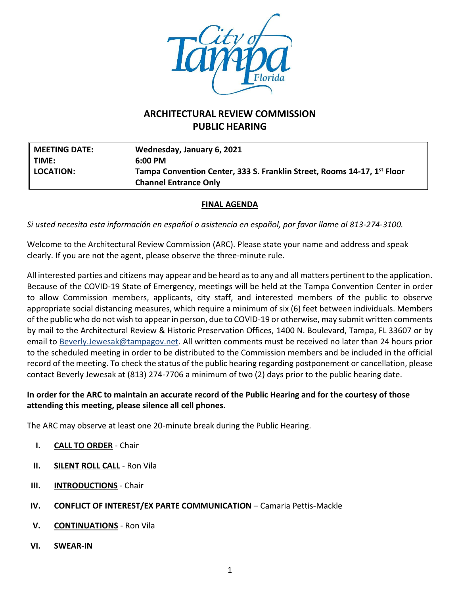

# **ARCHITECTURAL REVIEW COMMISSION PUBLIC HEARING**

| <b>MEETING DATE:</b> | Wednesday, January 6, 2021                                              |
|----------------------|-------------------------------------------------------------------------|
| TIME:                | $6:00 \text{ PM}$                                                       |
| LOCATION:            | Tampa Convention Center, 333 S. Franklin Street, Rooms 14-17, 1st Floor |
|                      | <b>Channel Entrance Only</b>                                            |

### **FINAL AGENDA**

*Si usted necesita esta información en español o asistencia en español, por favor llame al 813-274-3100.*

Welcome to the Architectural Review Commission (ARC). Please state your name and address and speak clearly. If you are not the agent, please observe the three-minute rule.

All interested parties and citizens may appear and be heard as to any and all matters pertinent to the application. Because of the COVID-19 State of Emergency, meetings will be held at the Tampa Convention Center in order to allow Commission members, applicants, city staff, and interested members of the public to observe appropriate social distancing measures, which require a minimum of six (6) feet between individuals. Members of the public who do not wish to appear in person, due to COVID-19 or otherwise, may submit written comments by mail to the Architectural Review & Historic Preservation Offices, 1400 N. Boulevard, Tampa, FL 33607 or by email to [Beverly.Jewesak@tampagov.net.](mailto:Beverly.Jewesak@tampagov.net) All written comments must be received no later than 24 hours prior to the scheduled meeting in order to be distributed to the Commission members and be included in the official record of the meeting. To check the status of the public hearing regarding postponement or cancellation, please contact Beverly Jewesak at (813) 274-7706 a minimum of two (2) days prior to the public hearing date.

## **In order for the ARC to maintain an accurate record of the Public Hearing and for the courtesy of those attending this meeting, please silence all cell phones.**

The ARC may observe at least one 20-minute break during the Public Hearing.

- **I. CALL TO ORDER** Chair
- **II. SILENT ROLL CALL** Ron Vila
- **III. INTRODUCTIONS** Chair
- **IV. CONFLICT OF INTEREST/EX PARTE COMMUNICATION** Camaria Pettis-Mackle
- **V. CONTINUATIONS** Ron Vila
- **VI. SWEAR-IN**